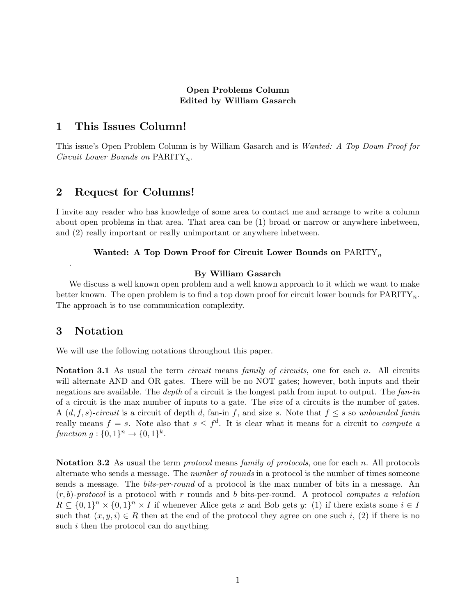### Open Problems Column Edited by William Gasarch

## 1 This Issues Column!

This issue's Open Problem Column is by William Gasarch and is Wanted: A Top Down Proof for Circuit Lower Bounds on  $\text{PARTTY}_n$ .

## 2 Request for Columns!

I invite any reader who has knowledge of some area to contact me and arrange to write a column about open problems in that area. That area can be (1) broad or narrow or anywhere inbetween, and (2) really important or really unimportant or anywhere inbetween.

### Wanted: A Top Down Proof for Circuit Lower Bounds on  $\text{PARITY}_n$

#### By William Gasarch

We discuss a well known open problem and a well known approach to it which we want to make better known. The open problem is to find a top down proof for circuit lower bounds for  $\text{PARITY}_n$ . The approach is to use communication complexity.

## 3 Notation

.

We will use the following notations throughout this paper.

**Notation 3.1** As usual the term *circuit* means *family of circuits*, one for each n. All circuits will alternate AND and OR gates. There will be no NOT gates; however, both inputs and their negations are available. The *depth* of a circuit is the longest path from input to output. The fan-in of a circuit is the max number of inputs to a gate. The size of a circuits is the number of gates. A  $(d, f, s)$ -circuit is a circuit of depth d, fan-in f, and size s. Note that  $f \leq s$  so unbounded fanin really means  $f = s$ . Note also that  $s \leq f^d$ . It is clear what it means for a circuit to *compute a* function  $g: \{0,1\}^n \to \{0,1\}^k$ .

Notation 3.2 As usual the term *protocol* means *family of protocols*, one for each n. All protocols alternate who sends a message. The *number of rounds* in a protocol is the number of times someone sends a message. The bits-per-round of a protocol is the max number of bits in a message. An  $(r, b)$ -protocol is a protocol with r rounds and b bits-per-round. A protocol computes a relation  $R \subseteq \{0,1\}^n \times \{0,1\}^n \times I$  if whenever Alice gets x and Bob gets y: (1) if there exists some  $i \in I$ such that  $(x, y, i) \in R$  then at the end of the protocol they agree on one such i, (2) if there is no such *i* then the protocol can do anything.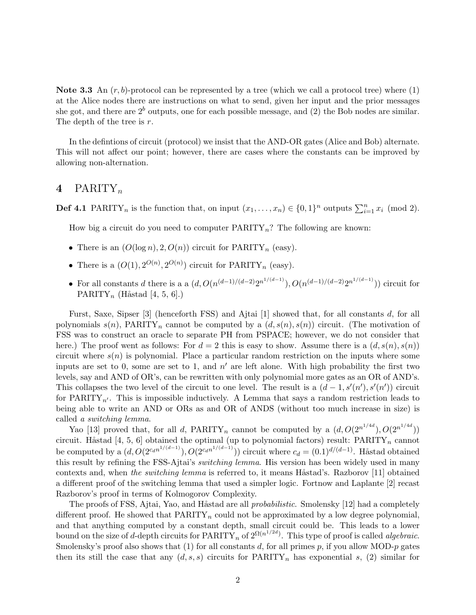**Note 3.3** An  $(r, b)$ -protocol can be represented by a tree (which we call a protocol tree) where (1) at the Alice nodes there are instructions on what to send, given her input and the prior messages she got, and there are  $2<sup>b</sup>$  outputs, one for each possible message, and (2) the Bob nodes are similar. The depth of the tree is r.

In the defintions of circuit (protocol) we insist that the AND-OR gates (Alice and Bob) alternate. This will not affect our point; however, there are cases where the constants can be improved by allowing non-alternation.

# 4 PARITY<sub>n</sub>

**Def 4.1** PARITY<sub>n</sub> is the function that, on input  $(x_1, \ldots, x_n) \in \{0, 1\}^n$  outputs  $\sum_{i=1}^n x_i \pmod{2}$ .

How big a circuit do you need to computer  $\text{PARITY}_n$ ? The following are known:

- There is an  $(O(\log n), 2, O(n))$  circuit for PARITY<sub>n</sub> (easy).
- There is a  $(O(1), 2^{O(n)}, 2^{O(n)})$  circuit for PARITY<sub>n</sub> (easy).
- For all constants d there is a a  $(d, O(n^{(d-1)/(d-2)}2^{n^{1/(d-1)}}), O(n^{(d-1)/(d-2)}2^{n^{1/(d-1)}}))$  circuit for PARITY<sub>n</sub> (Håstad [4, 5, 6].)

Furst, Saxe, Sipser [3] (henceforth FSS) and Ajtai [1] showed that, for all constants d, for all polynomials  $s(n)$ , PARITY<sub>n</sub> cannot be computed by a  $(d, s(n), s(n))$  circuit. (The motivation of FSS was to construct an oracle to separate PH from PSPACE; however, we do not consider that here.) The proof went as follows: For  $d = 2$  this is easy to show. Assume there is a  $(d, s(n), s(n))$ circuit where  $s(n)$  is polynomial. Place a particular random restriction on the inputs where some inputs are set to 0, some are set to 1, and  $n'$  are left alone. With high probability the first two levels, say and AND of OR's, can be rewritten with only polynomial more gates as an OR of AND's. This collapses the two level of the circuit to one level. The result is a  $(d-1, s'(n'), s'(n'))$  circuit for PARITY<sub>n'</sub>. This is impossible inductively. A Lemma that says a random restriction leads to being able to write an AND or ORs as and OR of ANDS (without too much increase in size) is called a switching lemma.

Yao [13] proved that, for all d, PARITY<sub>n</sub> cannot be computed by a  $(d, O(2^{n^{1/4d}}), O(2^{n^{1/4d}}))$ circuit. Håstad [4, 5, 6] obtained the optimal (up to polynomial factors) result:  $\overrightarrow{PARITY}_n$  cannot be computed by a  $(d, O(2^{c_d n^{1/(d-1)}}), O(2^{c_d n^{1/(d-1)}}))$  circuit where  $c_d = (0.1)^{d/(d-1)}$ . Håstad obtained this result by refining the FSS-Ajtai's switching lemma. His version has been widely used in many contexts and, when the switching lemma is referred to, it means H $\delta$ astad's. Razborov [11] obtained a different proof of the switching lemma that used a simpler logic. Fortnow and Laplante [2] recast Razborov's proof in terms of Kolmogorov Complexity.

The proofs of FSS, Ajtai, Yao, and Håstad are all *probabilistic*. Smolensky [12] had a completely different proof. He showed that  $\text{PARITY}_n$  could not be approximated by a low degree polynomial, and that anything computed by a constant depth, small circuit could be. This leads to a lower bound on the size of d-depth circuits for  $\text{PARITY}_n$  of  $2^{\Omega(n^{1/2d})}$ . This type of proof is called *algebraic*. Smolensky's proof also shows that (1) for all constants d, for all primes p, if you allow MOD-p gates then its still the case that any  $(d, s, s)$  circuits for PARITY<sub>n</sub> has exponential s, (2) similar for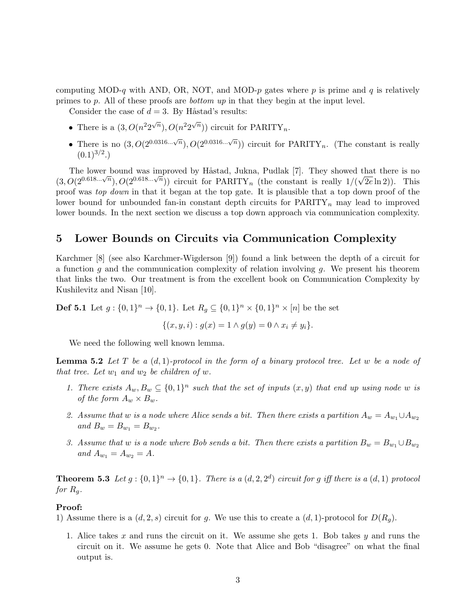computing MOD-q with AND, OR, NOT, and MOD-p gates where p is prime and q is relatively primes to p. All of these proofs are *bottom up* in that they begin at the input level.

Consider the case of  $d = 3$ . By Håstad's results:

- There is a  $(3, O(n^2 2^{\sqrt{n}}), O(n^2 2^{\sqrt{n}}))$  circuit for PARITY<sub>n</sub>.
- There is no  $(3, O(2^{0.0316... \sqrt{n}}), O(2^{0.0316... \sqrt{n}}))$  circuit for PARITY<sub>n</sub>. (The constant is really  $(0.1)^{3/2}$ .)

The lower bound was improved by Håstad, Jukna, Pudlak [7]. They showed that there is no (3,  $O(2^{0.618... \sqrt{n}})$ ,  $O(2^{0.618... \sqrt{n}})$ ) circuit for PARITY<sub>n</sub> (the constant is really  $1/(\sqrt{2e} \ln 2)$ ). This proof was top down in that it began at the top gate. It is plausible that a top down proof of the lower bound for unbounded fan-in constant depth circuits for  $\text{PARITY}_n$  may lead to improved lower bounds. In the next section we discuss a top down approach via communication complexity.

## 5 Lower Bounds on Circuits via Communication Complexity

Karchmer [8] (see also Karchmer-Wigderson [9]) found a link between the depth of a circuit for a function  $q$  and the communication complexity of relation involving  $q$ . We present his theorem that links the two. Our treatment is from the excellent book on Communication Complexity by Kushilevitz and Nisan [10].

**Def 5.1** Let  $g: \{0,1\}^n \to \{0,1\}$ . Let  $R_g \subseteq \{0,1\}^n \times \{0,1\}^n \times [n]$  be the set

$$
\{(x, y, i) : g(x) = 1 \land g(y) = 0 \land x_i \neq y_i\}.
$$

We need the following well known lemma.

**Lemma 5.2** Let T be a  $(d, 1)$ -protocol in the form of a binary protocol tree. Let w be a node of that tree. Let  $w_1$  and  $w_2$  be children of w.

- 1. There exists  $A_w, B_w \subseteq \{0,1\}^n$  such that the set of inputs  $(x, y)$  that end up using node w is of the form  $A_w \times B_w$ .
- 2. Assume that w is a node where Alice sends a bit. Then there exists a partition  $A_w = A_{w_1} \cup A_{w_2}$ and  $B_w = B_{w_1} = B_{w_2}$ .
- 3. Assume that w is a node where Bob sends a bit. Then there exists a partition  $B_w = B_{w_1} \cup B_{w_2}$ and  $A_{w_1} = A_{w_2} = A$ .

**Theorem 5.3** Let  $g: \{0,1\}^n \to \{0,1\}$ . There is a  $(d, 2, 2^d)$  circuit for g iff there is a  $(d, 1)$  protocol for  $R_g$ .

### Proof:

- 1) Assume there is a  $(d, 2, s)$  circuit for g. We use this to create a  $(d, 1)$ -protocol for  $D(R_q)$ .
	- 1. Alice takes x and runs the circuit on it. We assume she gets 1. Bob takes y and runs the circuit on it. We assume he gets 0. Note that Alice and Bob "disagree" on what the final output is.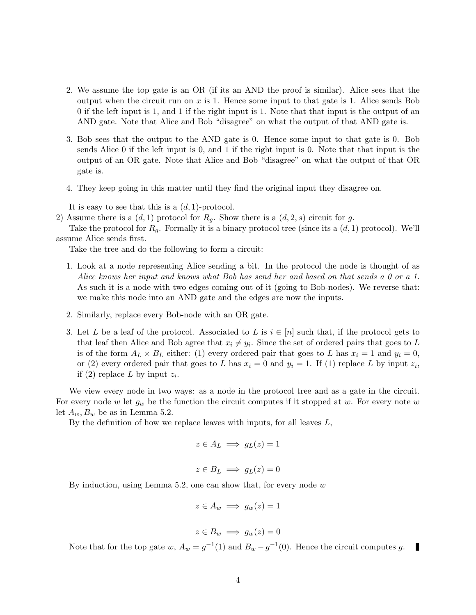- 2. We assume the top gate is an OR (if its an AND the proof is similar). Alice sees that the output when the circuit run on  $x$  is 1. Hence some input to that gate is 1. Alice sends Bob 0 if the left input is 1, and 1 if the right input is 1. Note that that input is the output of an AND gate. Note that Alice and Bob "disagree" on what the output of that AND gate is.
- 3. Bob sees that the output to the AND gate is 0. Hence some input to that gate is 0. Bob sends Alice 0 if the left input is 0, and 1 if the right input is 0. Note that that input is the output of an OR gate. Note that Alice and Bob "disagree" on what the output of that OR gate is.
- 4. They keep going in this matter until they find the original input they disagree on.

It is easy to see that this is a  $(d, 1)$ -protocol.

2) Assume there is a  $(d, 1)$  protocol for  $R_q$ . Show there is a  $(d, 2, s)$  circuit for g.

Take the protocol for  $R_q$ . Formally it is a binary protocol tree (since its a  $(d, 1)$  protocol). We'll assume Alice sends first.

Take the tree and do the following to form a circuit:

- 1. Look at a node representing Alice sending a bit. In the protocol the node is thought of as Alice knows her input and knows what Bob has send her and based on that sends a 0 or a 1. As such it is a node with two edges coming out of it (going to Bob-nodes). We reverse that: we make this node into an AND gate and the edges are now the inputs.
- 2. Similarly, replace every Bob-node with an OR gate.
- 3. Let L be a leaf of the protocol. Associated to L is  $i \in [n]$  such that, if the protocol gets to that leaf then Alice and Bob agree that  $x_i \neq y_i$ . Since the set of ordered pairs that goes to L is of the form  $A_L \times B_L$  either: (1) every ordered pair that goes to L has  $x_i = 1$  and  $y_i = 0$ , or (2) every ordered pair that goes to L has  $x_i = 0$  and  $y_i = 1$ . If (1) replace L by input  $z_i$ , if (2) replace L by input  $\overline{z_i}$ .

We view every node in two ways: as a node in the protocol tree and as a gate in the circuit. For every node w let  $g_w$  be the function the circuit computes if it stopped at w. For every note w let  $A_w, B_w$  be as in Lemma 5.2.

By the definition of how we replace leaves with inputs, for all leaves  $L$ ,

$$
z \in A_L \implies g_L(z) = 1
$$

$$
z \in B_L \implies g_L(z) = 0
$$

By induction, using Lemma 5.2, one can show that, for every node  $w$ 

$$
z \in A_w \implies g_w(z) = 1
$$

$$
z \in B_w \implies g_w(z) = 0
$$

Note that for the top gate w,  $A_w = g^{-1}(1)$  and  $B_w - g^{-1}(0)$ . Hence the circuit computes g. П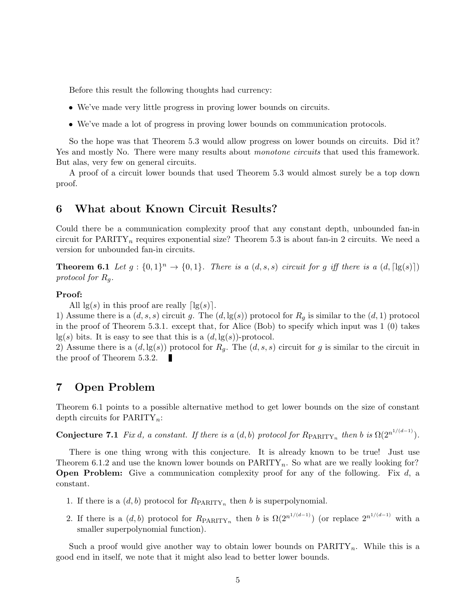Before this result the following thoughts had currency:

- We've made very little progress in proving lower bounds on circuits.
- We've made a lot of progress in proving lower bounds on communication protocols.

So the hope was that Theorem 5.3 would allow progress on lower bounds on circuits. Did it? Yes and mostly No. There were many results about *monotone circuits* that used this framework. But alas, very few on general circuits.

A proof of a circuit lower bounds that used Theorem 5.3 would almost surely be a top down proof.

# 6 What about Known Circuit Results?

Could there be a communication complexity proof that any constant depth, unbounded fan-in circuit for  $\text{PARITY}_n$  requires exponential size? Theorem 5.3 is about fan-in 2 circuits. We need a version for unbounded fan-in circuits.

**Theorem 6.1** Let  $g: \{0,1\}^n \to \{0,1\}$ . There is a  $(d, s, s)$  circuit for g iff there is a  $(d, \lceil \lg(s) \rceil)$ protocol for  $R_q$ .

#### Proof:

All  $\lg(s)$  in this proof are really  $\lceil \lg(s) \rceil$ .

1) Assume there is a  $(d, s, s)$  circuit g. The  $(d, \lg(s))$  protocol for  $R_q$  is similar to the  $(d, 1)$  protocol in the proof of Theorem 5.3.1. except that, for Alice (Bob) to specify which input was 1 (0) takes  $lg(s)$  bits. It is easy to see that this is a  $(d, lg(s))$ -protocol.

2) Assume there is a  $(d, \lg(s))$  protocol for  $R_q$ . The  $(d, s, s)$  circuit for g is similar to the circuit in the proof of Theorem 5.3.2. H

## 7 Open Problem

Theorem 6.1 points to a possible alternative method to get lower bounds on the size of constant depth circuits for  $\text{PARITY}_n$ :

**Conjecture 7.1** Fix d, a constant. If there is a  $(d, b)$  protocol for  $R_{\text{PARITY}_n}$  then b is  $\Omega(2^{n^{1/(d-1)}})$ .

There is one thing wrong with this conjecture. It is already known to be true! Just use Theorem 6.1.2 and use the known lower bounds on  $\text{PARITY}_n$ . So what are we really looking for? **Open Problem:** Give a communication complexity proof for any of the following. Fix  $d$ , a constant.

- 1. If there is a  $(d, b)$  protocol for  $R_{\text{PARITY}_n}$  then b is superpolynomial.
- 2. If there is a  $(d, b)$  protocol for  $R_{\text{PARITY}_n}$  then b is  $\Omega(2^{n^{1/(d-1)}})$  (or replace  $2^{n^{1/(d-1)}}$  with a smaller superpolynomial function).

Such a proof would give another way to obtain lower bounds on  $\text{PARITY}_n$ . While this is a good end in itself, we note that it might also lead to better lower bounds.